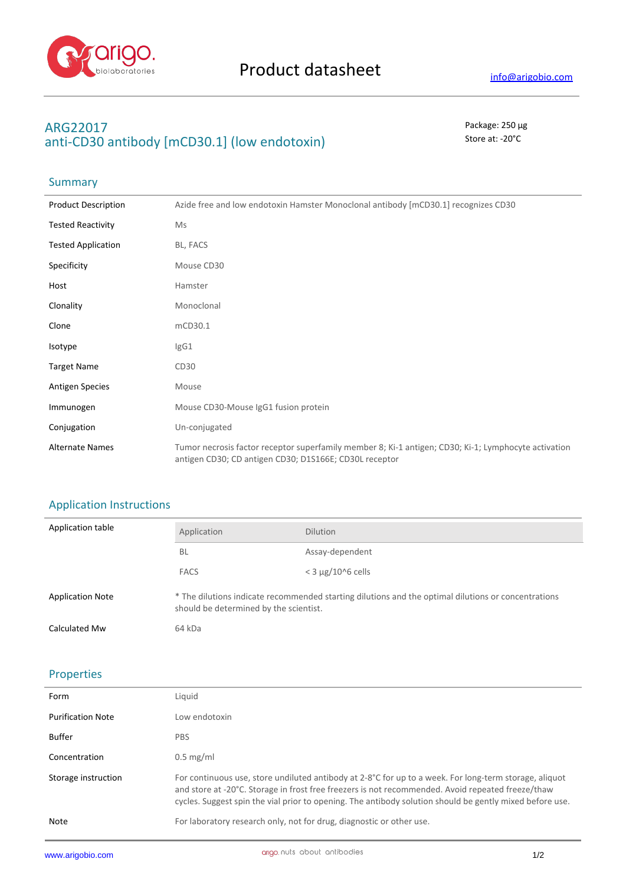

### **ARG22017** Package: 250 μg anti-CD30 antibody [mCD30.1] (low endotoxin) Store at: -20<sup>°</sup>C

## Summary

| <b>Product Description</b> | Azide free and low endotoxin Hamster Monoclonal antibody [mCD30.1] recognizes CD30                                                                             |
|----------------------------|----------------------------------------------------------------------------------------------------------------------------------------------------------------|
| <b>Tested Reactivity</b>   | Ms                                                                                                                                                             |
| <b>Tested Application</b>  | BL, FACS                                                                                                                                                       |
| Specificity                | Mouse CD30                                                                                                                                                     |
| Host                       | Hamster                                                                                                                                                        |
| Clonality                  | Monoclonal                                                                                                                                                     |
| Clone                      | mCD30.1                                                                                                                                                        |
| Isotype                    | lgG1                                                                                                                                                           |
| <b>Target Name</b>         | CD30                                                                                                                                                           |
| <b>Antigen Species</b>     | Mouse                                                                                                                                                          |
| Immunogen                  | Mouse CD30-Mouse IgG1 fusion protein                                                                                                                           |
| Conjugation                | Un-conjugated                                                                                                                                                  |
| <b>Alternate Names</b>     | Tumor necrosis factor receptor superfamily member 8; Ki-1 antigen; CD30; Ki-1; Lymphocyte activation<br>antigen CD30; CD antigen CD30; D1S166E; CD30L receptor |

#### Application Instructions

| Application table       | Application                                                                                                                                   | <b>Dilution</b>          |
|-------------------------|-----------------------------------------------------------------------------------------------------------------------------------------------|--------------------------|
|                         | BL                                                                                                                                            | Assay-dependent          |
|                         | <b>FACS</b>                                                                                                                                   | $<$ 3 $\mu$ g/10^6 cells |
| <b>Application Note</b> | * The dilutions indicate recommended starting dilutions and the optimal dilutions or concentrations<br>should be determined by the scientist. |                          |
| Calculated Mw           | 64 kDa                                                                                                                                        |                          |

## Properties

| Form                     | Liquid                                                                                                                                                                                                                                                                                                                           |
|--------------------------|----------------------------------------------------------------------------------------------------------------------------------------------------------------------------------------------------------------------------------------------------------------------------------------------------------------------------------|
| <b>Purification Note</b> | Low endotoxin                                                                                                                                                                                                                                                                                                                    |
| <b>Buffer</b>            | <b>PBS</b>                                                                                                                                                                                                                                                                                                                       |
| Concentration            | $0.5$ mg/ml                                                                                                                                                                                                                                                                                                                      |
| Storage instruction      | For continuous use, store undiluted antibody at $2-8^{\circ}C$ for up to a week. For long-term storage, aliquot<br>and store at -20°C. Storage in frost free freezers is not recommended. Avoid repeated freeze/thaw<br>cycles. Suggest spin the vial prior to opening. The antibody solution should be gently mixed before use. |
| Note                     | For laboratory research only, not for drug, diagnostic or other use.                                                                                                                                                                                                                                                             |